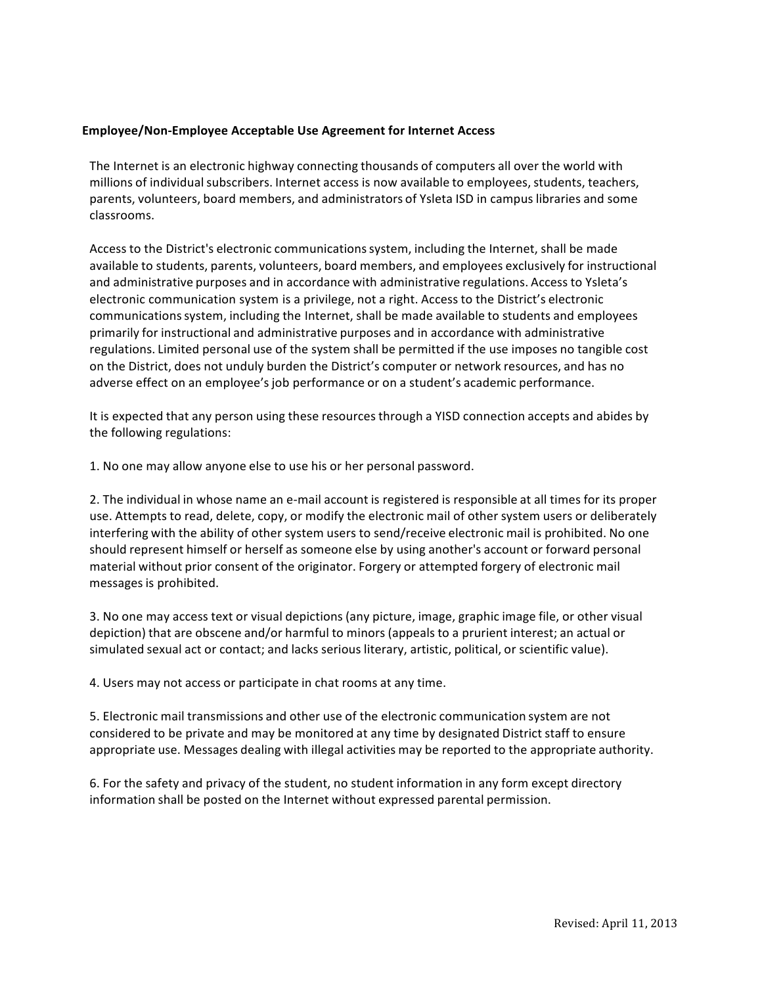## **Employee/Non-Employee Acceptable Use Agreement for Internet Access**

The Internet is an electronic highway connecting thousands of computers all over the world with millions of individual subscribers. Internet access is now available to employees, students, teachers, parents, volunteers, board members, and administrators of Ysleta ISD in campus libraries and some classrooms.

Access to the District's electronic communications system, including the Internet, shall be made available to students, parents, volunteers, board members, and employees exclusively for instructional and administrative purposes and in accordance with administrative regulations. Access to Ysleta's electronic communication system is a privilege, not a right. Access to the District's electronic communications system, including the Internet, shall be made available to students and employees primarily for instructional and administrative purposes and in accordance with administrative regulations. Limited personal use of the system shall be permitted if the use imposes no tangible cost on the District, does not unduly burden the District's computer or network resources, and has no adverse effect on an employee's job performance or on a student's academic performance.

It is expected that any person using these resources through a YISD connection accepts and abides by the following regulations:

1. No one may allow anyone else to use his or her personal password.

2. The individual in whose name an e-mail account is registered is responsible at all times for its proper use. Attempts to read, delete, copy, or modify the electronic mail of other system users or deliberately interfering with the ability of other system users to send/receive electronic mail is prohibited. No one should represent himself or herself as someone else by using another's account or forward personal material without prior consent of the originator. Forgery or attempted forgery of electronic mail messages is prohibited.

3. No one may access text or visual depictions (any picture, image, graphic image file, or other visual depiction) that are obscene and/or harmful to minors (appeals to a prurient interest; an actual or simulated sexual act or contact; and lacks serious literary, artistic, political, or scientific value).

4. Users may not access or participate in chat rooms at any time.

5. Electronic mail transmissions and other use of the electronic communication system are not considered to be private and may be monitored at any time by designated District staff to ensure appropriate use. Messages dealing with illegal activities may be reported to the appropriate authority.

6. For the safety and privacy of the student, no student information in any form except directory information shall be posted on the Internet without expressed parental permission.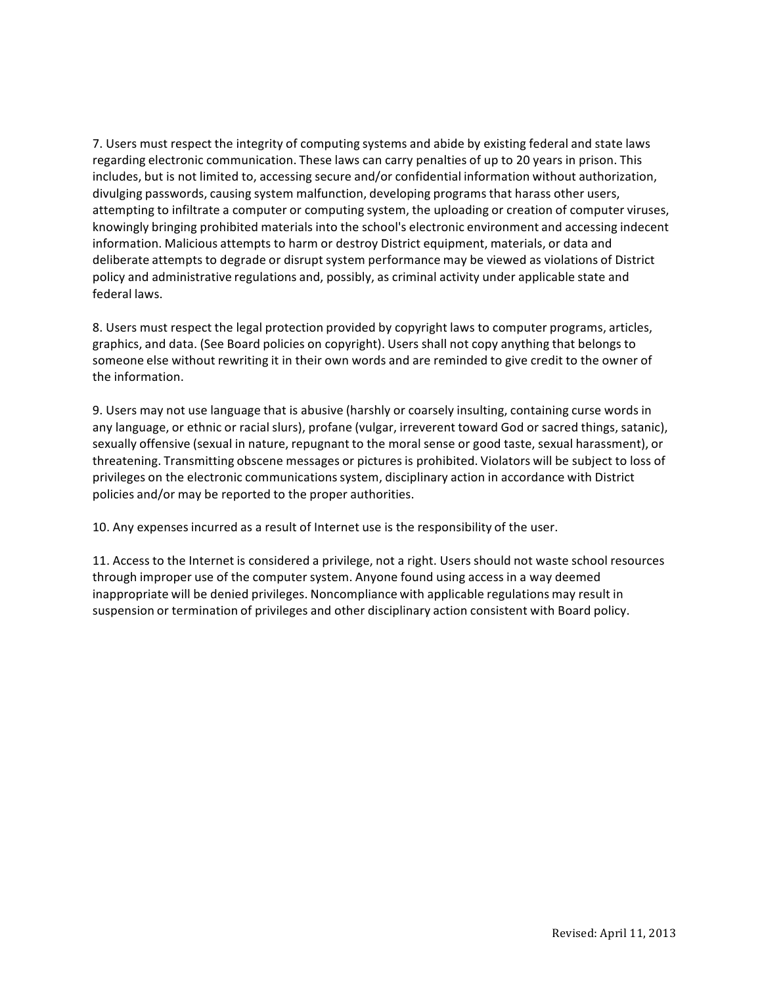7. Users must respect the integrity of computing systems and abide by existing federal and state laws regarding electronic communication. These laws can carry penalties of up to 20 years in prison. This includes, but is not limited to, accessing secure and/or confidential information without authorization, divulging passwords, causing system malfunction, developing programs that harass other users, attempting to infiltrate a computer or computing system, the uploading or creation of computer viruses, knowingly bringing prohibited materials into the school's electronic environment and accessing indecent information. Malicious attempts to harm or destroy District equipment, materials, or data and deliberate attempts to degrade or disrupt system performance may be viewed as violations of District policy and administrative regulations and, possibly, as criminal activity under applicable state and federal laws.

8. Users must respect the legal protection provided by copyright laws to computer programs, articles, graphics, and data. (See Board policies on copyright). Users shall not copy anything that belongs to someone else without rewriting it in their own words and are reminded to give credit to the owner of the information.

9. Users may not use language that is abusive (harshly or coarsely insulting, containing curse words in any language, or ethnic or racial slurs), profane (vulgar, irreverent toward God or sacred things, satanic), sexually offensive (sexual in nature, repugnant to the moral sense or good taste, sexual harassment), or threatening. Transmitting obscene messages or pictures is prohibited. Violators will be subject to loss of privileges on the electronic communications system, disciplinary action in accordance with District policies and/or may be reported to the proper authorities.

10. Any expenses incurred as a result of Internet use is the responsibility of the user.

11. Access to the Internet is considered a privilege, not a right. Users should not waste school resources through improper use of the computer system. Anyone found using access in a way deemed inappropriate will be denied privileges. Noncompliance with applicable regulations may result in suspension or termination of privileges and other disciplinary action consistent with Board policy.